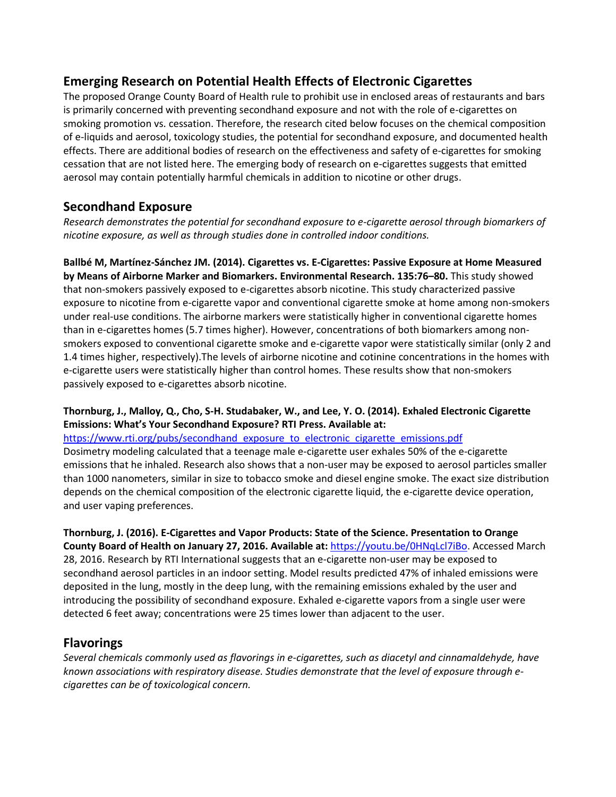## **Emerging Research on Potential Health Effects of Electronic Cigarettes**

The proposed Orange County Board of Health rule to prohibit use in enclosed areas of restaurants and bars is primarily concerned with preventing secondhand exposure and not with the role of e-cigarettes on smoking promotion vs. cessation. Therefore, the research cited below focuses on the chemical composition of e-liquids and aerosol, toxicology studies, the potential for secondhand exposure, and documented health effects. There are additional bodies of research on the effectiveness and safety of e-cigarettes for smoking cessation that are not listed here. The emerging body of research on e-cigarettes suggests that emitted aerosol may contain potentially harmful chemicals in addition to nicotine or other drugs.

# **Secondhand Exposure**

*Research demonstrates the potential for secondhand exposure to e-cigarette aerosol through biomarkers of nicotine exposure, as well as through studies done in controlled indoor conditions.*

**Ballbé M, Martínez-Sánchez JM. (2014). Cigarettes vs. E-Cigarettes: Passive Exposure at Home Measured by Means of Airborne Marker and Biomarkers. Environmental Research. 135:76–80.** This study showed that non-smokers passively exposed to e-cigarettes absorb nicotine. This study characterized passive exposure to nicotine from e-cigarette vapor and conventional cigarette smoke at home among non-smokers under real-use conditions. The airborne markers were statistically higher in conventional cigarette homes than in e-cigarettes homes (5.7 times higher). However, concentrations of both biomarkers among nonsmokers exposed to conventional cigarette smoke and e-cigarette vapor were statistically similar (only 2 and 1.4 times higher, respectively).The levels of airborne nicotine and cotinine concentrations in the homes with e-cigarette users were statistically higher than control homes. These results show that non-smokers passively exposed to e-cigarettes absorb nicotine.

#### **Thornburg, J., Malloy, Q., Cho, S-H. Studabaker, W., and Lee, Y. O. (2014). Exhaled Electronic Cigarette Emissions: What's Your Secondhand Exposure? RTI Press. Available at:**

[https://www.rti.org/pubs/secondhand\\_exposure\\_to\\_electronic\\_cigarette\\_emissions.pdf](https://www.rti.org/pubs/secondhand_exposure_to_electronic_cigarette_emissions.pdf) Dosimetry modeling calculated that a teenage male e-cigarette user exhales 50% of the e-cigarette emissions that he inhaled. Research also shows that a non-user may be exposed to aerosol particles smaller than 1000 nanometers, similar in size to tobacco smoke and diesel engine smoke. The exact size distribution depends on the chemical composition of the electronic cigarette liquid, the e-cigarette device operation, and user vaping preferences.

**Thornburg, J. (2016). E-Cigarettes and Vapor Products: State of the Science. Presentation to Orange County Board of Health on January 27, 2016. Available at:** [https://youtu.be/0HNqLcl7iBo.](https://youtu.be/0HNqLcl7iBo) Accessed March 28, 2016. Research by RTI International suggests that an e-cigarette non-user may be exposed to secondhand aerosol particles in an indoor setting. Model results predicted 47% of inhaled emissions were deposited in the lung, mostly in the deep lung, with the remaining emissions exhaled by the user and introducing the possibility of secondhand exposure. Exhaled e-cigarette vapors from a single user were detected 6 feet away; concentrations were 25 times lower than adjacent to the user.

# **Flavorings**

*Several chemicals commonly used as flavorings in e-cigarettes, such as diacetyl and cinnamaldehyde, have known associations with respiratory disease. Studies demonstrate that the level of exposure through ecigarettes can be of toxicological concern.*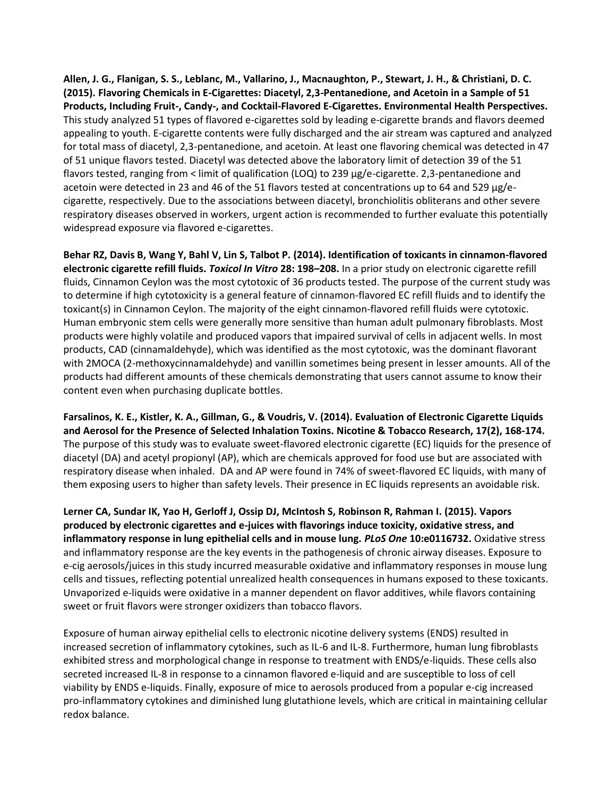**Allen, J. G., Flanigan, S. S., Leblanc, M., Vallarino, J., Macnaughton, P., Stewart, J. H., & Christiani, D. C. (2015). Flavoring Chemicals in E-Cigarettes: Diacetyl, 2,3-Pentanedione, and Acetoin in a Sample of 51 Products, Including Fruit-, Candy-, and Cocktail-Flavored E-Cigarettes. Environmental Health Perspectives.**  This study analyzed 51 types of flavored e-cigarettes sold by leading e-cigarette brands and flavors deemed appealing to youth. E-cigarette contents were fully discharged and the air stream was captured and analyzed for total mass of diacetyl, 2,3-pentanedione, and acetoin. At least one flavoring chemical was detected in 47 of 51 unique flavors tested. Diacetyl was detected above the laboratory limit of detection 39 of the 51 flavors tested, ranging from < limit of qualification (LOQ) to 239 μg/e-cigarette. 2,3-pentanedione and acetoin were detected in 23 and 46 of the 51 flavors tested at concentrations up to 64 and 529 μg/ecigarette, respectively. Due to the associations between diacetyl, bronchiolitis obliterans and other severe respiratory diseases observed in workers, urgent action is recommended to further evaluate this potentially widespread exposure via flavored e-cigarettes.

**Behar RZ, Davis B, Wang Y, Bahl V, Lin S, Talbot P. (2014). Identification of toxicants in cinnamon-flavored electronic cigarette refill fluids.** *Toxicol In Vitro* **28: 198–208.** In a prior study on electronic cigarette refill fluids, Cinnamon Ceylon was the most cytotoxic of 36 products tested. The purpose of the current study was to determine if high cytotoxicity is a general feature of cinnamon-flavored EC refill fluids and to identify the toxicant(s) in Cinnamon Ceylon. The majority of the eight cinnamon-flavored refill fluids were cytotoxic. Human embryonic stem cells were generally more sensitive than human adult pulmonary fibroblasts. Most products were highly volatile and produced vapors that impaired survival of cells in adjacent wells. In most products, CAD (cinnamaldehyde), which was identified as the most cytotoxic, was the dominant flavorant with 2MOCA (2-methoxycinnamaldehyde) and vanillin sometimes being present in lesser amounts. All of the products had different amounts of these chemicals demonstrating that users cannot assume to know their content even when purchasing duplicate bottles.

**Farsalinos, K. E., Kistler, K. A., Gillman, G., & Voudris, V. (2014). Evaluation of Electronic Cigarette Liquids and Aerosol for the Presence of Selected Inhalation Toxins. Nicotine & Tobacco Research, 17(2), 168-174.** The purpose of this study was to evaluate sweet-flavored electronic cigarette (EC) liquids for the presence of diacetyl (DA) and acetyl propionyl (AP), which are chemicals approved for food use but are associated with respiratory disease when inhaled. DA and AP were found in 74% of sweet-flavored EC liquids, with many of them exposing users to higher than safety levels. Their presence in EC liquids represents an avoidable risk.

**Lerner CA, Sundar IK, Yao H, Gerloff J, Ossip DJ, McIntosh S, Robinson R, Rahman I. (2015). Vapors produced by electronic cigarettes and e-juices with flavorings induce toxicity, oxidative stress, and inflammatory response in lung epithelial cells and in mouse lung.** *PLoS One* **10:e0116732.** Oxidative stress and inflammatory response are the key events in the pathogenesis of chronic airway diseases. Exposure to e-cig aerosols/juices in this study incurred measurable oxidative and inflammatory responses in mouse lung cells and tissues, reflecting potential unrealized health consequences in humans exposed to these toxicants. Unvaporized e-liquids were oxidative in a manner dependent on flavor additives, while flavors containing sweet or fruit flavors were stronger oxidizers than tobacco flavors.

Exposure of human airway epithelial cells to electronic nicotine delivery systems (ENDS) resulted in increased secretion of inflammatory cytokines, such as IL-6 and IL-8. Furthermore, human lung fibroblasts exhibited stress and morphological change in response to treatment with ENDS/e-liquids. These cells also secreted increased IL-8 in response to a cinnamon flavored e-liquid and are susceptible to loss of cell viability by ENDS e-liquids. Finally, exposure of mice to aerosols produced from a popular e-cig increased pro-inflammatory cytokines and diminished lung glutathione levels, which are critical in maintaining cellular redox balance.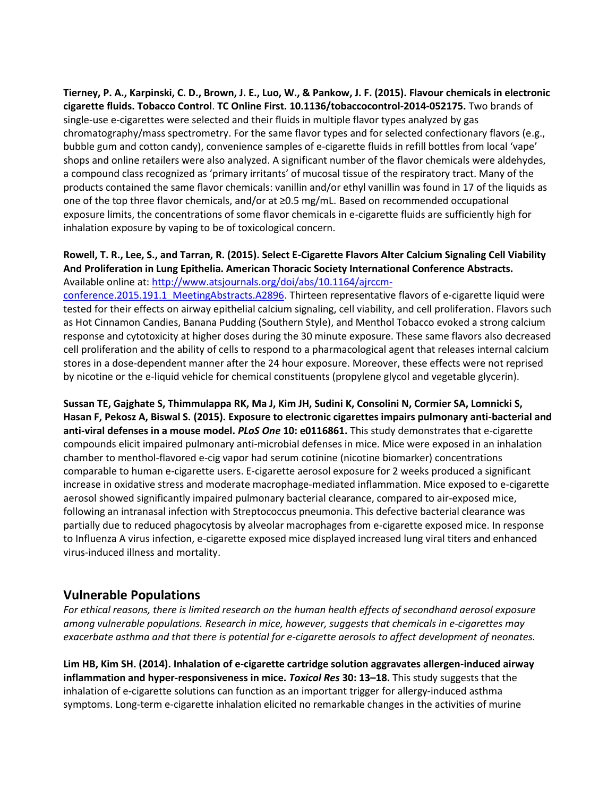**Tierney, P. A., Karpinski, C. D., Brown, J. E., Luo, W., & Pankow, J. F. (2015). Flavour chemicals in electronic cigarette fluids. Tobacco Control**. **TC Online First. 10.1136/tobaccocontrol-2014-052175.** Two brands of single-use e-cigarettes were selected and their fluids in multiple flavor types analyzed by gas chromatography/mass spectrometry. For the same flavor types and for selected confectionary flavors (e.g., bubble gum and cotton candy), convenience samples of e-cigarette fluids in refill bottles from local 'vape' shops and online retailers were also analyzed. A significant number of the flavor chemicals were aldehydes, a compound class recognized as 'primary irritants' of mucosal tissue of the respiratory tract. Many of the products contained the same flavor chemicals: vanillin and/or ethyl vanillin was found in 17 of the liquids as one of the top three flavor chemicals, and/or at ≥0.5 mg/mL. Based on recommended occupational exposure limits, the concentrations of some flavor chemicals in e-cigarette fluids are sufficiently high for inhalation exposure by vaping to be of toxicological concern.

#### **Rowell, T. R., Lee, S., and Tarran, R. (2015). Select E-Cigarette Flavors Alter Calcium Signaling Cell Viability And Proliferation in Lung Epithelia. American Thoracic Society International Conference Abstracts.** Available online at: [http://www.atsjournals.org/doi/abs/10.1164/ajrccm-](http://www.atsjournals.org/doi/abs/10.1164/ajrccm-conference.2015.191.1_MeetingAbstracts.A2896)

[conference.2015.191.1\\_MeetingAbstracts.A2896.](http://www.atsjournals.org/doi/abs/10.1164/ajrccm-conference.2015.191.1_MeetingAbstracts.A2896) Thirteen representative flavors of e-cigarette liquid were tested for their effects on airway epithelial calcium signaling, cell viability, and cell proliferation. Flavors such as Hot Cinnamon Candies, Banana Pudding (Southern Style), and Menthol Tobacco evoked a strong calcium response and cytotoxicity at higher doses during the 30 minute exposure. These same flavors also decreased cell proliferation and the ability of cells to respond to a pharmacological agent that releases internal calcium stores in a dose-dependent manner after the 24 hour exposure. Moreover, these effects were not reprised by nicotine or the e-liquid vehicle for chemical constituents (propylene glycol and vegetable glycerin).

**Sussan TE, Gajghate S, Thimmulappa RK, Ma J, Kim JH, Sudini K, Consolini N, Cormier SA, Lomnicki S, Hasan F, Pekosz A, Biswal S. (2015). Exposure to electronic cigarettes impairs pulmonary anti-bacterial and anti-viral defenses in a mouse model.** *PLoS One* **10: e0116861.** This study demonstrates that e-cigarette compounds elicit impaired pulmonary anti-microbial defenses in mice. Mice were exposed in an inhalation chamber to menthol-flavored e-cig vapor had serum cotinine (nicotine biomarker) concentrations comparable to human e-cigarette users. E-cigarette aerosol exposure for 2 weeks produced a significant increase in oxidative stress and moderate macrophage-mediated inflammation. Mice exposed to e-cigarette aerosol showed significantly impaired pulmonary bacterial clearance, compared to air-exposed mice, following an intranasal infection with Streptococcus pneumonia. This defective bacterial clearance was partially due to reduced phagocytosis by alveolar macrophages from e-cigarette exposed mice. In response to Influenza A virus infection, e-cigarette exposed mice displayed increased lung viral titers and enhanced virus-induced illness and mortality.

### **Vulnerable Populations**

*For ethical reasons, there is limited research on the human health effects of secondhand aerosol exposure among vulnerable populations. Research in mice, however, suggests that chemicals in e-cigarettes may exacerbate asthma and that there is potential for e-cigarette aerosols to affect development of neonates.*

**Lim HB, Kim SH. (2014). Inhalation of e-cigarette cartridge solution aggravates allergen-induced airway inflammation and hyper-responsiveness in mice.** *Toxicol Res* **30: 13–18.** This study suggests that the inhalation of e-cigarette solutions can function as an important trigger for allergy-induced asthma symptoms. Long-term e-cigarette inhalation elicited no remarkable changes in the activities of murine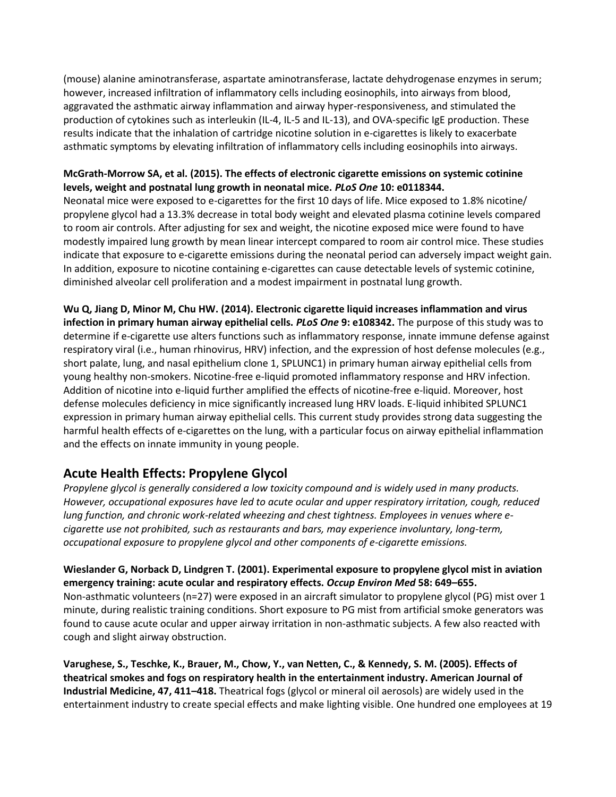(mouse) alanine aminotransferase, aspartate aminotransferase, lactate dehydrogenase enzymes in serum; however, increased infiltration of inflammatory cells including eosinophils, into airways from blood, aggravated the asthmatic airway inflammation and airway hyper-responsiveness, and stimulated the production of cytokines such as interleukin (IL-4, IL-5 and IL-13), and OVA-specific IgE production. These results indicate that the inhalation of cartridge nicotine solution in e-cigarettes is likely to exacerbate asthmatic symptoms by elevating infiltration of inflammatory cells including eosinophils into airways.

#### **McGrath-Morrow SA, et al. (2015). The effects of electronic cigarette emissions on systemic cotinine levels, weight and postnatal lung growth in neonatal mice.** *PLoS One* **10: e0118344.**

Neonatal mice were exposed to e-cigarettes for the first 10 days of life. Mice exposed to 1.8% nicotine/ propylene glycol had a 13.3% decrease in total body weight and elevated plasma cotinine levels compared to room air controls. After adjusting for sex and weight, the nicotine exposed mice were found to have modestly impaired lung growth by mean linear intercept compared to room air control mice. These studies indicate that exposure to e-cigarette emissions during the neonatal period can adversely impact weight gain. In addition, exposure to nicotine containing e-cigarettes can cause detectable levels of systemic cotinine, diminished alveolar cell proliferation and a modest impairment in postnatal lung growth.

**Wu Q, Jiang D, Minor M, Chu HW. (2014). Electronic cigarette liquid increases inflammation and virus infection in primary human airway epithelial cells.** *PLoS One* **9: e108342.** The purpose of this study was to determine if e-cigarette use alters functions such as inflammatory response, innate immune defense against respiratory viral (i.e., human rhinovirus, HRV) infection, and the expression of host defense molecules (e.g., short palate, lung, and nasal epithelium clone 1, SPLUNC1) in primary human airway epithelial cells from young healthy non-smokers. Nicotine-free e-liquid promoted inflammatory response and HRV infection. Addition of nicotine into e-liquid further amplified the effects of nicotine-free e-liquid. Moreover, host defense molecules deficiency in mice significantly increased lung HRV loads. E-liquid inhibited SPLUNC1 expression in primary human airway epithelial cells. This current study provides strong data suggesting the harmful health effects of e-cigarettes on the lung, with a particular focus on airway epithelial inflammation and the effects on innate immunity in young people.

# **Acute Health Effects: Propylene Glycol**

*Propylene glycol is generally considered a low toxicity compound and is widely used in many products. However, occupational exposures have led to acute ocular and upper respiratory irritation, cough, reduced lung function, and chronic work-related wheezing and chest tightness. Employees in venues where ecigarette use not prohibited, such as restaurants and bars, may experience involuntary, long-term, occupational exposure to propylene glycol and other components of e-cigarette emissions.*

**Wieslander G, Norback D, Lindgren T. (2001). Experimental exposure to propylene glycol mist in aviation emergency training: acute ocular and respiratory effects.** *Occup Environ Med* **58: 649–655.** Non-asthmatic volunteers (n=27) were exposed in an aircraft simulator to propylene glycol (PG) mist over 1 minute, during realistic training conditions. Short exposure to PG mist from artificial smoke generators was found to cause acute ocular and upper airway irritation in non-asthmatic subjects. A few also reacted with cough and slight airway obstruction.

**Varughese, S., Teschke, K., Brauer, M., Chow, Y., van Netten, C., & Kennedy, S. M. (2005). Effects of theatrical smokes and fogs on respiratory health in the entertainment industry. American Journal of Industrial Medicine, 47, 411–418.** Theatrical fogs (glycol or mineral oil aerosols) are widely used in the entertainment industry to create special effects and make lighting visible. One hundred one employees at 19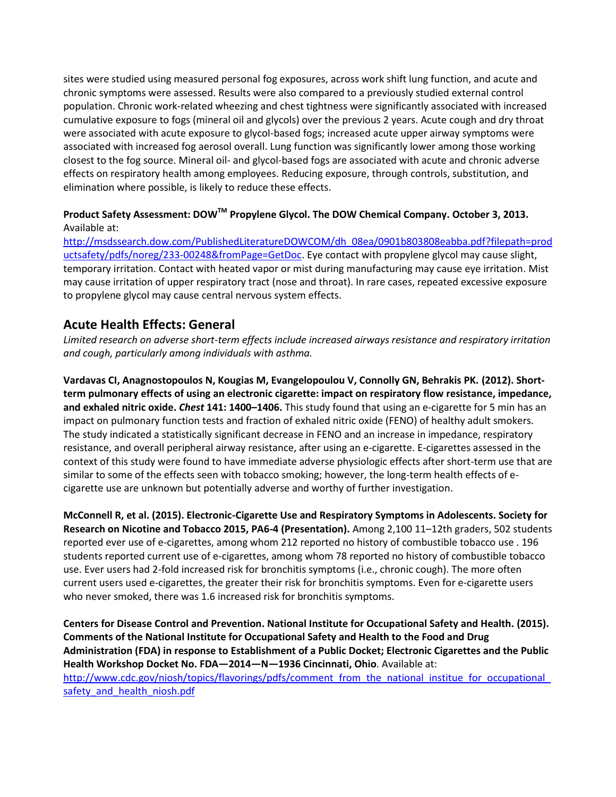sites were studied using measured personal fog exposures, across work shift lung function, and acute and chronic symptoms were assessed. Results were also compared to a previously studied external control population. Chronic work-related wheezing and chest tightness were significantly associated with increased cumulative exposure to fogs (mineral oil and glycols) over the previous 2 years. Acute cough and dry throat were associated with acute exposure to glycol-based fogs; increased acute upper airway symptoms were associated with increased fog aerosol overall. Lung function was significantly lower among those working closest to the fog source. Mineral oil- and glycol-based fogs are associated with acute and chronic adverse effects on respiratory health among employees. Reducing exposure, through controls, substitution, and elimination where possible, is likely to reduce these effects.

#### **Product Safety Assessment: DOWTM Propylene Glycol. The DOW Chemical Company. October 3, 2013.**  Available at:

[http://msdssearch.dow.com/PublishedLiteratureDOWCOM/dh\\_08ea/0901b803808eabba.pdf?filepath=prod](http://msdssearch.dow.com/PublishedLiteratureDOWCOM/dh_08ea/0901b803808eabba.pdf?filepath=productsafety/pdfs/noreg/233-00248&fromPage=GetDoc) [uctsafety/pdfs/noreg/233-00248&fromPage=GetDoc.](http://msdssearch.dow.com/PublishedLiteratureDOWCOM/dh_08ea/0901b803808eabba.pdf?filepath=productsafety/pdfs/noreg/233-00248&fromPage=GetDoc) Eye contact with propylene glycol may cause slight, temporary irritation. Contact with heated vapor or mist during manufacturing may cause eye irritation. Mist may cause irritation of upper respiratory tract (nose and throat). In rare cases, repeated excessive exposure to propylene glycol may cause central nervous system effects.

## **Acute Health Effects: General**

*Limited research on adverse short-term effects include increased airways resistance and respiratory irritation and cough, particularly among individuals with asthma.*

**Vardavas CI, Anagnostopoulos N, Kougias M, Evangelopoulou V, Connolly GN, Behrakis PK. (2012). Shortterm pulmonary effects of using an electronic cigarette: impact on respiratory flow resistance, impedance, and exhaled nitric oxide.** *Chest* **141: 1400–1406.** This study found that using an e-cigarette for 5 min has an impact on pulmonary function tests and fraction of exhaled nitric oxide (FENO) of healthy adult smokers. The study indicated a statistically significant decrease in FENO and an increase in impedance, respiratory resistance, and overall peripheral airway resistance, after using an e-cigarette. E-cigarettes assessed in the context of this study were found to have immediate adverse physiologic effects after short-term use that are similar to some of the effects seen with tobacco smoking; however, the long-term health effects of ecigarette use are unknown but potentially adverse and worthy of further investigation.

**McConnell R, et al. (2015). Electronic-Cigarette Use and Respiratory Symptoms in Adolescents. Society for Research on Nicotine and Tobacco 2015, PA6-4 (Presentation).** Among 2,100 11–12th graders, 502 students reported ever use of e-cigarettes, among whom 212 reported no history of combustible tobacco use . 196 students reported current use of e-cigarettes, among whom 78 reported no history of combustible tobacco use. Ever users had 2-fold increased risk for bronchitis symptoms (i.e., chronic cough). The more often current users used e-cigarettes, the greater their risk for bronchitis symptoms. Even for e-cigarette users who never smoked, there was 1.6 increased risk for bronchitis symptoms.

**Centers for Disease Control and Prevention. National Institute for Occupational Safety and Health. (2015). Comments of the National Institute for Occupational Safety and Health to the Food and Drug Administration (FDA) in response to Establishment of a Public Docket; Electronic Cigarettes and the Public Health Workshop Docket No. FDA—2014—N—1936 Cincinnati, Ohio**. Available at: http://www.cdc.gov/niosh/topics/flavorings/pdfs/comment\_from\_the\_national\_institue\_for\_occupational safety and health niosh.pdf